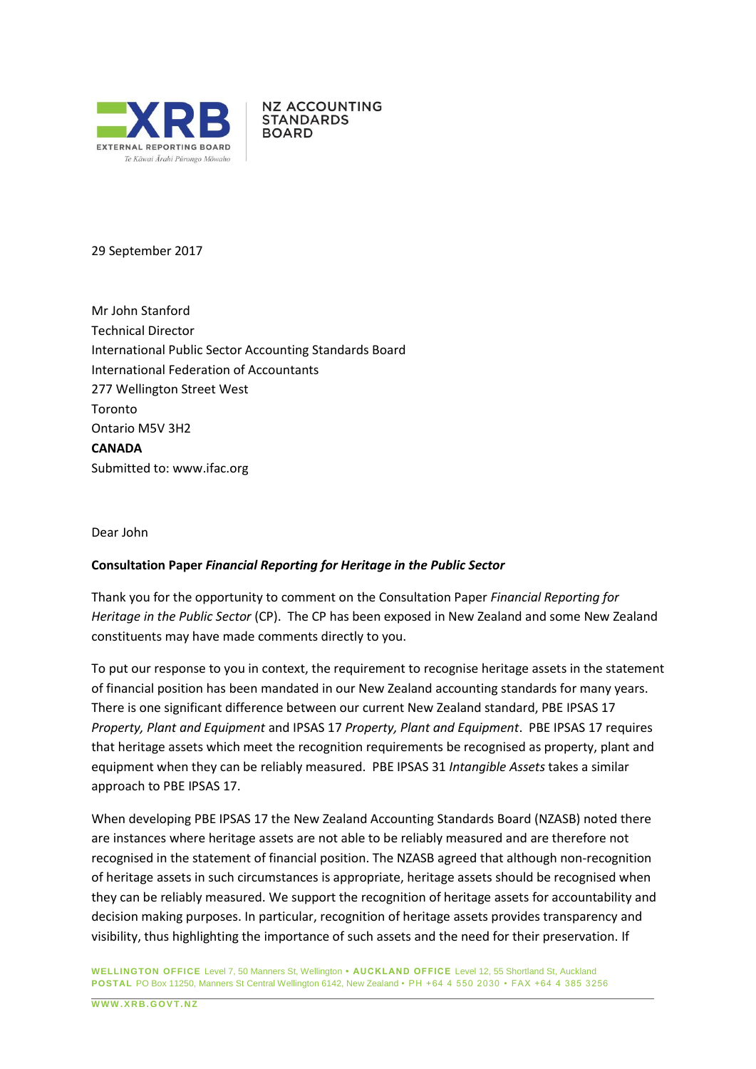

**NZ ACCOUNTING STANDARDS BOARD** 

29 September 2017

Mr John Stanford Technical Director International Public Sector Accounting Standards Board International Federation of Accountants 277 Wellington Street West Toronto Ontario M5V 3H2 **CANADA** Submitted to: [www.ifac.org](http://www.ifac.org/)

Dear John

#### **Consultation Paper** *Financial Reporting for Heritage in the Public Sector*

Thank you for the opportunity to comment on the Consultation Paper *Financial Reporting for Heritage in the Public Sector* (CP). The CP has been exposed in New Zealand and some New Zealand constituents may have made comments directly to you.

To put our response to you in context, the requirement to recognise heritage assets in the statement of financial position has been mandated in our New Zealand accounting standards for many years. There is one significant difference between our current New Zealand standard, PBE IPSAS 17 *Property, Plant and Equipment* and IPSAS 17 *Property, Plant and Equipment*. PBE IPSAS 17 requires that heritage assets which meet the recognition requirements be recognised as property, plant and equipment when they can be reliably measured. PBE IPSAS 31 *Intangible Assets* takes a similar approach to PBE IPSAS 17.

When developing PBE IPSAS 17 the New Zealand Accounting Standards Board (NZASB) noted there are instances where heritage assets are not able to be reliably measured and are therefore not recognised in the statement of financial position. The NZASB agreed that although non-recognition of heritage assets in such circumstances is appropriate, heritage assets should be recognised when they can be reliably measured. We support the recognition of heritage assets for accountability and decision making purposes. In particular, recognition of heritage assets provides transparency and visibility, thus highlighting the importance of such assets and the need for their preservation. If

**WELLINGTON OFFICE** Level 7, 50 Manners St, Wellington **• AUCKLAND OFFICE** Level 12, 55 Shortland St, Auckland **POSTAL** PO Box 11250, Manners St Central Wellington 6142, New Zealand • PH +64 4 550 2030 • FAX +64 4 385 3256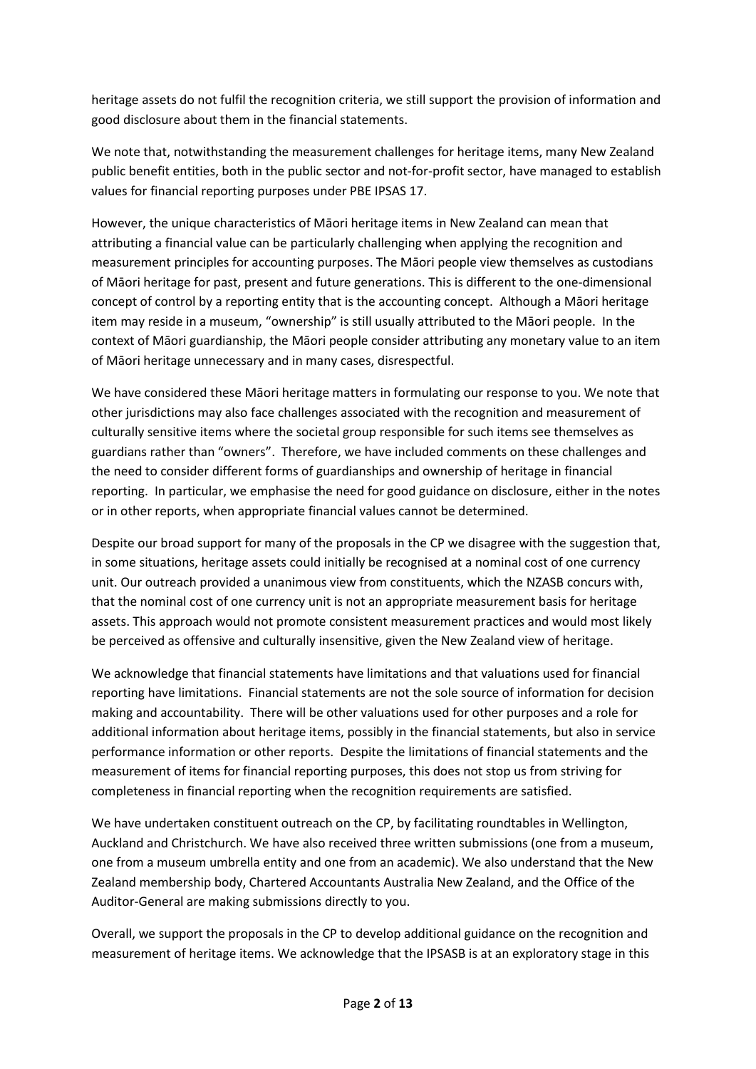heritage assets do not fulfil the recognition criteria, we still support the provision of information and good disclosure about them in the financial statements.

We note that, notwithstanding the measurement challenges for heritage items, many New Zealand public benefit entities, both in the public sector and not-for-profit sector, have managed to establish values for financial reporting purposes under PBE IPSAS 17.

However, the unique characteristics of Māori heritage items in New Zealand can mean that attributing a financial value can be particularly challenging when applying the recognition and measurement principles for accounting purposes. The Māori people view themselves as custodians of Māori heritage for past, present and future generations. This is different to the one-dimensional concept of control by a reporting entity that is the accounting concept. Although a Māori heritage item may reside in a museum, "ownership" is still usually attributed to the Māori people. In the context of Māori guardianship, the Māori people consider attributing any monetary value to an item of Māori heritage unnecessary and in many cases, disrespectful.

We have considered these Māori heritage matters in formulating our response to you. We note that other jurisdictions may also face challenges associated with the recognition and measurement of culturally sensitive items where the societal group responsible for such items see themselves as guardians rather than "owners". Therefore, we have included comments on these challenges and the need to consider different forms of guardianships and ownership of heritage in financial reporting. In particular, we emphasise the need for good guidance on disclosure, either in the notes or in other reports, when appropriate financial values cannot be determined.

Despite our broad support for many of the proposals in the CP we disagree with the suggestion that, in some situations, heritage assets could initially be recognised at a nominal cost of one currency unit. Our outreach provided a unanimous view from constituents, which the NZASB concurs with, that the nominal cost of one currency unit is not an appropriate measurement basis for heritage assets. This approach would not promote consistent measurement practices and would most likely be perceived as offensive and culturally insensitive, given the New Zealand view of heritage.

We acknowledge that financial statements have limitations and that valuations used for financial reporting have limitations. Financial statements are not the sole source of information for decision making and accountability. There will be other valuations used for other purposes and a role for additional information about heritage items, possibly in the financial statements, but also in service performance information or other reports. Despite the limitations of financial statements and the measurement of items for financial reporting purposes, this does not stop us from striving for completeness in financial reporting when the recognition requirements are satisfied.

We have undertaken constituent outreach on the CP, by facilitating roundtables in Wellington, Auckland and Christchurch. We have also received three written submissions (one from a museum, one from a museum umbrella entity and one from an academic). We also understand that the New Zealand membership body, Chartered Accountants Australia New Zealand, and the Office of the Auditor-General are making submissions directly to you.

Overall, we support the proposals in the CP to develop additional guidance on the recognition and measurement of heritage items. We acknowledge that the IPSASB is at an exploratory stage in this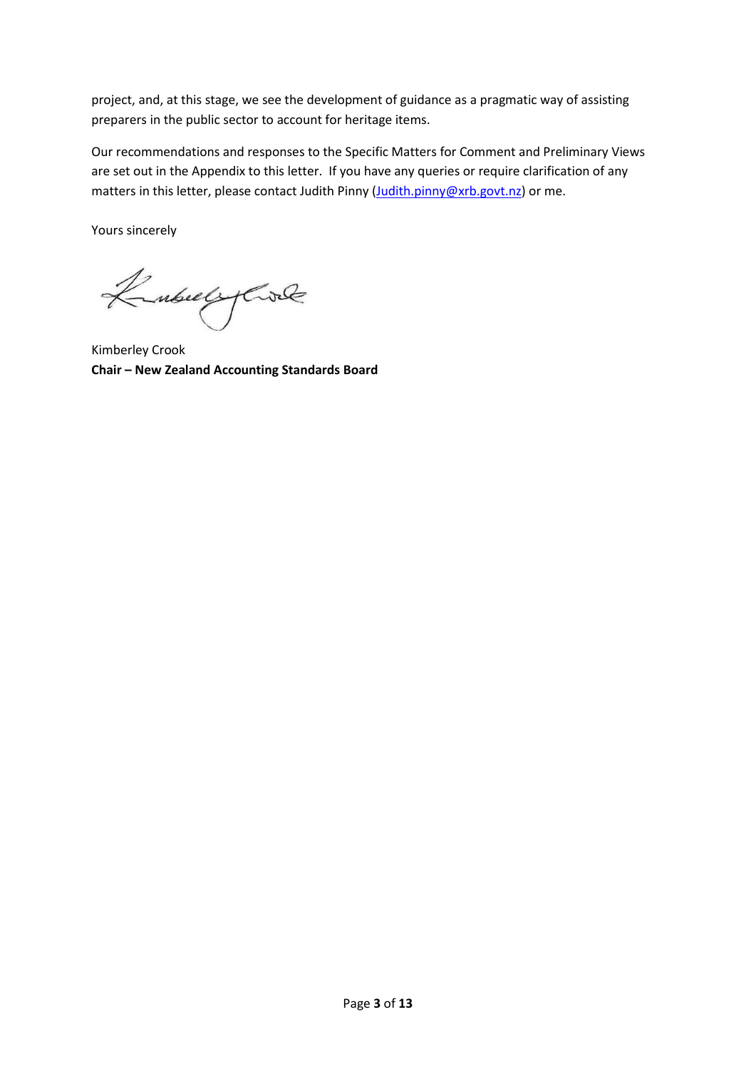project, and, at this stage, we see the development of guidance as a pragmatic way of assisting preparers in the public sector to account for heritage items.

Our recommendations and responses to the Specific Matters for Comment and Preliminary Views are set out in the Appendix to this letter. If you have any queries or require clarification of any matters in this letter, please contact Judith Pinny [\(Judith.pinny@xrb.govt.nz\)](mailto:Judith.pinny@xrb.govt.nz) or me.

Yours sincerely

KubulyCole

Kimberley Crook **Chair – New Zealand Accounting Standards Board**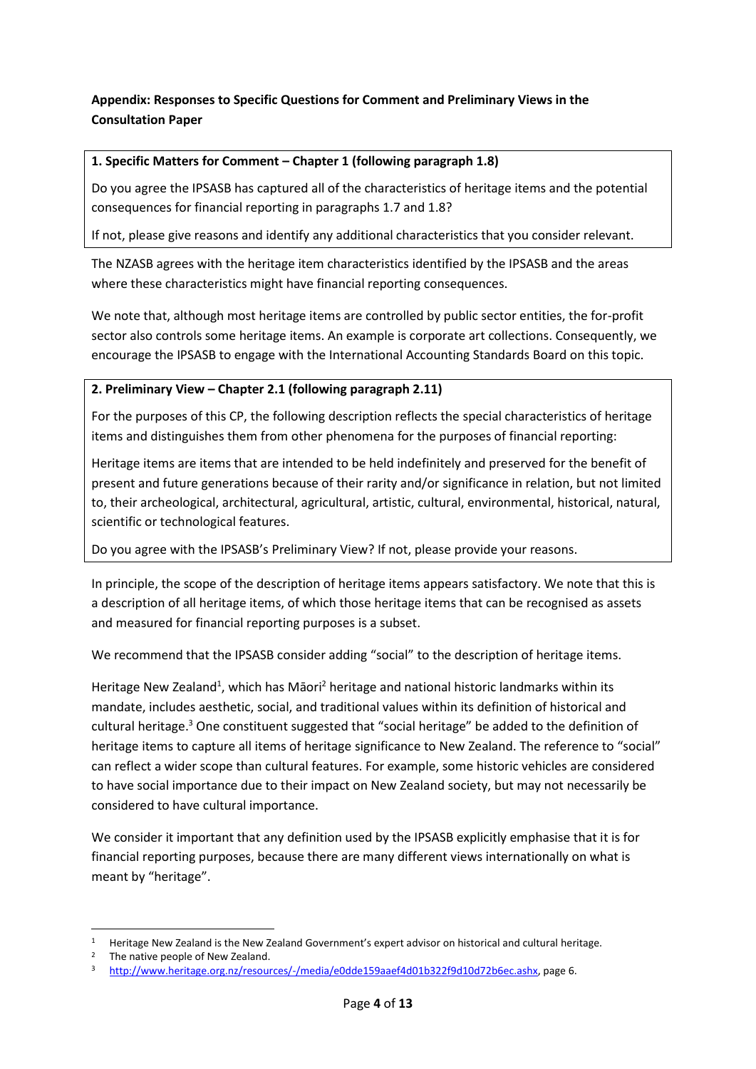# **Appendix: Responses to Specific Questions for Comment and Preliminary Views in the Consultation Paper**

### **1. Specific Matters for Comment – Chapter 1 (following paragraph 1.8)**

Do you agree the IPSASB has captured all of the characteristics of heritage items and the potential consequences for financial reporting in paragraphs 1.7 and 1.8?

If not, please give reasons and identify any additional characteristics that you consider relevant.

The NZASB agrees with the heritage item characteristics identified by the IPSASB and the areas where these characteristics might have financial reporting consequences.

We note that, although most heritage items are controlled by public sector entities, the for-profit sector also controls some heritage items. An example is corporate art collections. Consequently, we encourage the IPSASB to engage with the International Accounting Standards Board on this topic.

### **2. Preliminary View – Chapter 2.1 (following paragraph 2.11)**

For the purposes of this CP, the following description reflects the special characteristics of heritage items and distinguishes them from other phenomena for the purposes of financial reporting:

Heritage items are items that are intended to be held indefinitely and preserved for the benefit of present and future generations because of their rarity and/or significance in relation, but not limited to, their archeological, architectural, agricultural, artistic, cultural, environmental, historical, natural, scientific or technological features.

Do you agree with the IPSASB's Preliminary View? If not, please provide your reasons.

In principle, the scope of the description of heritage items appears satisfactory. We note that this is a description of all heritage items, of which those heritage items that can be recognised as assets and measured for financial reporting purposes is a subset.

We recommend that the IPSASB consider adding "social" to the description of heritage items.

Heritage New Zealand<sup>1</sup>, which has Māori<sup>2</sup> heritage and national historic landmarks within its mandate, includes aesthetic, social, and traditional values within its definition of historical and cultural heritage.<sup>3</sup> One constituent suggested that "social heritage" be added to the definition of heritage items to capture all items of heritage significance to New Zealand. The reference to "social" can reflect a wider scope than cultural features. For example, some historic vehicles are considered to have social importance due to their impact on New Zealand society, but may not necessarily be considered to have cultural importance.

We consider it important that any definition used by the IPSASB explicitly emphasise that it is for financial reporting purposes, because there are many different views internationally on what is meant by "heritage".

1

<sup>&</sup>lt;sup>1</sup> Heritage New Zealand is the New Zealand Government's expert advisor on historical and cultural heritage.

<sup>2</sup> The native people of New Zealand.

<sup>3</sup> [http://www.heritage.org.nz/resources/-/media/e0dde159aaef4d01b322f9d10d72b6ec.ashx,](http://www.heritage.org.nz/resources/-/media/e0dde159aaef4d01b322f9d10d72b6ec.ashx) page 6.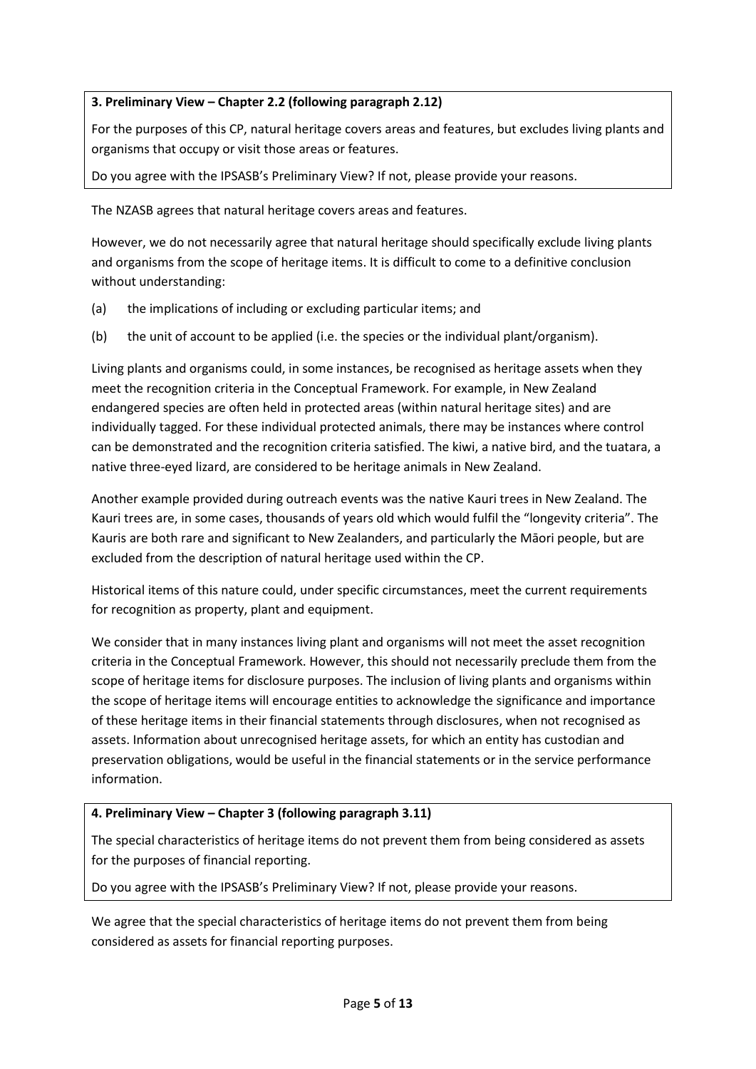# **3. Preliminary View – Chapter 2.2 (following paragraph 2.12)**

For the purposes of this CP, natural heritage covers areas and features, but excludes living plants and organisms that occupy or visit those areas or features.

Do you agree with the IPSASB's Preliminary View? If not, please provide your reasons.

The NZASB agrees that natural heritage covers areas and features.

However, we do not necessarily agree that natural heritage should specifically exclude living plants and organisms from the scope of heritage items. It is difficult to come to a definitive conclusion without understanding:

- (a) the implications of including or excluding particular items; and
- (b) the unit of account to be applied (i.e. the species or the individual plant/organism).

Living plants and organisms could, in some instances, be recognised as heritage assets when they meet the recognition criteria in the Conceptual Framework. For example, in New Zealand endangered species are often held in protected areas (within natural heritage sites) and are individually tagged. For these individual protected animals, there may be instances where control can be demonstrated and the recognition criteria satisfied. The kiwi, a native bird, and the tuatara, a native three-eyed lizard, are considered to be heritage animals in New Zealand.

Another example provided during outreach events was the native Kauri trees in New Zealand. The Kauri trees are, in some cases, thousands of years old which would fulfil the "longevity criteria". The Kauris are both rare and significant to New Zealanders, and particularly the Māori people, but are excluded from the description of natural heritage used within the CP.

Historical items of this nature could, under specific circumstances, meet the current requirements for recognition as property, plant and equipment.

We consider that in many instances living plant and organisms will not meet the asset recognition criteria in the Conceptual Framework. However, this should not necessarily preclude them from the scope of heritage items for disclosure purposes. The inclusion of living plants and organisms within the scope of heritage items will encourage entities to acknowledge the significance and importance of these heritage items in their financial statements through disclosures, when not recognised as assets. Information about unrecognised heritage assets, for which an entity has custodian and preservation obligations, would be useful in the financial statements or in the service performance information.

# **4. Preliminary View – Chapter 3 (following paragraph 3.11)**

The special characteristics of heritage items do not prevent them from being considered as assets for the purposes of financial reporting.

Do you agree with the IPSASB's Preliminary View? If not, please provide your reasons.

We agree that the special characteristics of heritage items do not prevent them from being considered as assets for financial reporting purposes.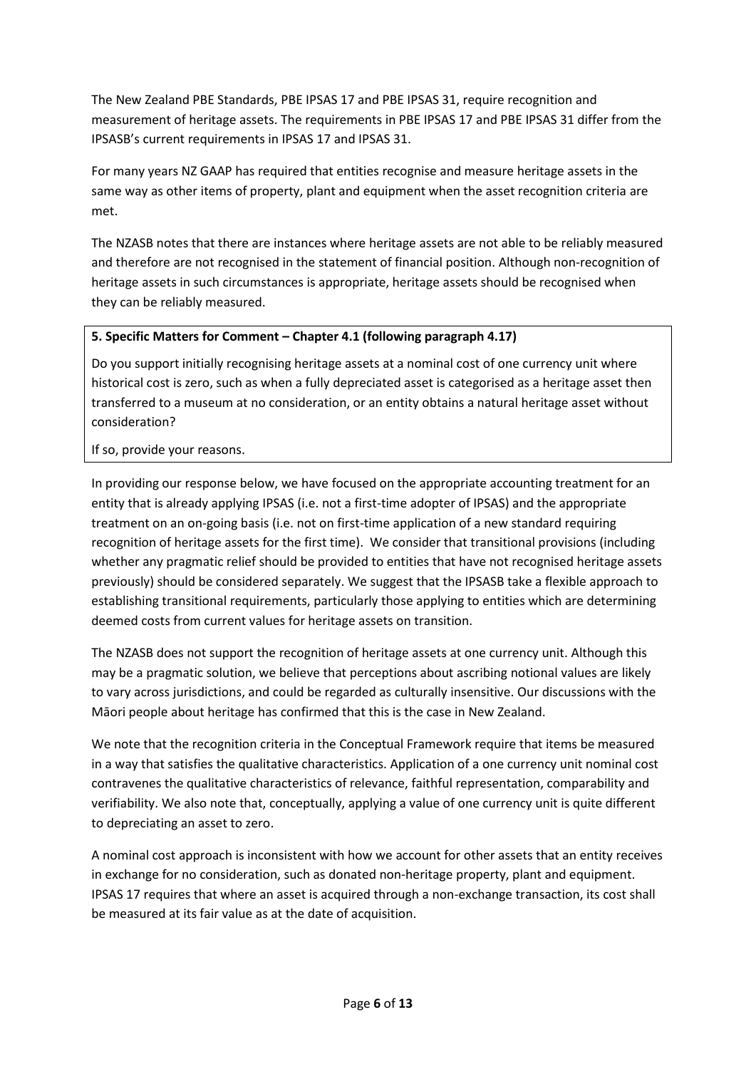The New Zealand PBE Standards, PBE IPSAS 17 and PBE IPSAS 31, require recognition and measurement of heritage assets. The requirements in PBE IPSAS 17 and PBE IPSAS 31 differ from the IPSASB's current requirements in IPSAS 17 and IPSAS 31.

For many years NZ GAAP has required that entities recognise and measure heritage assets in the same way as other items of property, plant and equipment when the asset recognition criteria are met.

The NZASB notes that there are instances where heritage assets are not able to be reliably measured and therefore are not recognised in the statement of financial position. Although non-recognition of heritage assets in such circumstances is appropriate, heritage assets should be recognised when they can be reliably measured.

# **5. Specific Matters for Comment – Chapter 4.1 (following paragraph 4.17)**

Do you support initially recognising heritage assets at a nominal cost of one currency unit where historical cost is zero, such as when a fully depreciated asset is categorised as a heritage asset then transferred to a museum at no consideration, or an entity obtains a natural heritage asset without consideration?

If so, provide your reasons.

In providing our response below, we have focused on the appropriate accounting treatment for an entity that is already applying IPSAS (i.e. not a first-time adopter of IPSAS) and the appropriate treatment on an on-going basis (i.e. not on first-time application of a new standard requiring recognition of heritage assets for the first time). We consider that transitional provisions (including whether any pragmatic relief should be provided to entities that have not recognised heritage assets previously) should be considered separately. We suggest that the IPSASB take a flexible approach to establishing transitional requirements, particularly those applying to entities which are determining deemed costs from current values for heritage assets on transition.

The NZASB does not support the recognition of heritage assets at one currency unit. Although this may be a pragmatic solution, we believe that perceptions about ascribing notional values are likely to vary across jurisdictions, and could be regarded as culturally insensitive. Our discussions with the Māori people about heritage has confirmed that this is the case in New Zealand.

We note that the recognition criteria in the Conceptual Framework require that items be measured in a way that satisfies the qualitative characteristics. Application of a one currency unit nominal cost contravenes the qualitative characteristics of relevance, faithful representation, comparability and verifiability. We also note that, conceptually, applying a value of one currency unit is quite different to depreciating an asset to zero.

A nominal cost approach is inconsistent with how we account for other assets that an entity receives in exchange for no consideration, such as donated non-heritage property, plant and equipment. IPSAS 17 requires that where an asset is acquired through a non-exchange transaction, its cost shall be measured at its fair value as at the date of acquisition.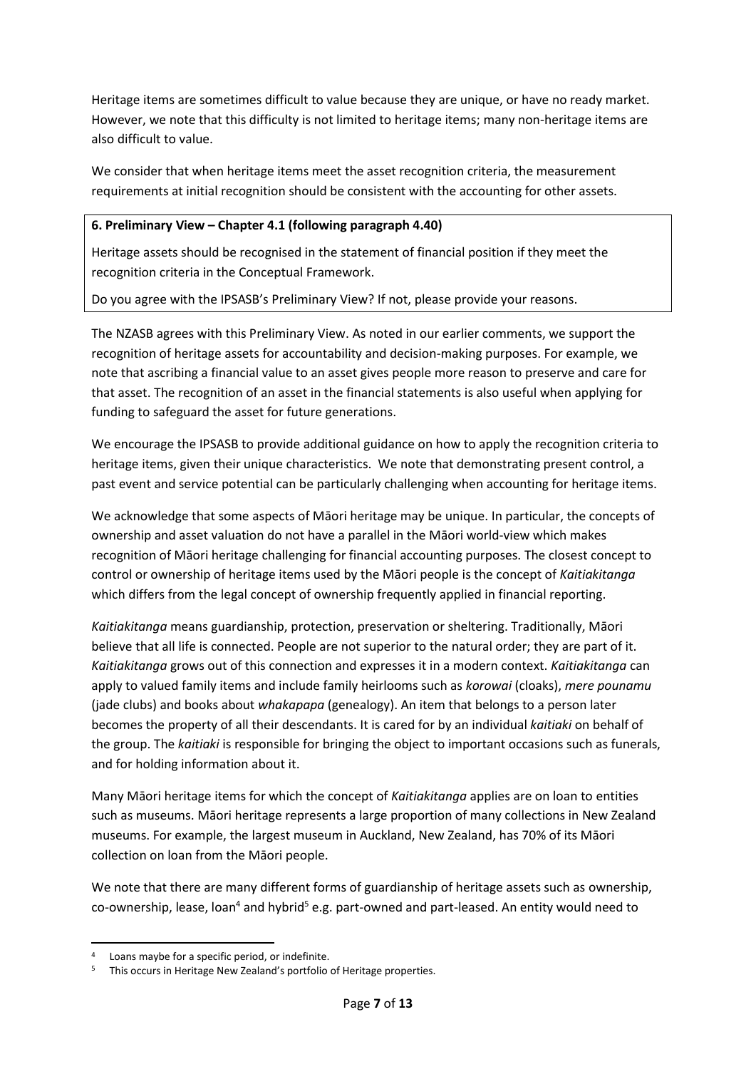Heritage items are sometimes difficult to value because they are unique, or have no ready market. However, we note that this difficulty is not limited to heritage items; many non-heritage items are also difficult to value.

We consider that when heritage items meet the asset recognition criteria, the measurement requirements at initial recognition should be consistent with the accounting for other assets.

#### **6. Preliminary View – Chapter 4.1 (following paragraph 4.40)**

Heritage assets should be recognised in the statement of financial position if they meet the recognition criteria in the Conceptual Framework.

Do you agree with the IPSASB's Preliminary View? If not, please provide your reasons.

The NZASB agrees with this Preliminary View. As noted in our earlier comments, we support the recognition of heritage assets for accountability and decision-making purposes. For example, we note that ascribing a financial value to an asset gives people more reason to preserve and care for that asset. The recognition of an asset in the financial statements is also useful when applying for funding to safeguard the asset for future generations.

We encourage the IPSASB to provide additional guidance on how to apply the recognition criteria to heritage items, given their unique characteristics. We note that demonstrating present control, a past event and service potential can be particularly challenging when accounting for heritage items.

We acknowledge that some aspects of Māori heritage may be unique. In particular, the concepts of ownership and asset valuation do not have a parallel in the Māori world-view which makes recognition of Māori heritage challenging for financial accounting purposes. The closest concept to control or ownership of heritage items used by the Māori people is the concept of *Kaitiakitanga* which differs from the legal concept of ownership frequently applied in financial reporting.

*Kaitiakitanga* means guardianship, protection, preservation or sheltering. Traditionally, Māori believe that all life is connected. People are not superior to the natural order; they are part of it. *Kaitiakitanga* grows out of this connection and expresses it in a modern context. *Kaitiakitanga* can apply to valued family items and include family heirlooms such as *korowai* (cloaks), *mere pounamu* (jade clubs) and books about *[whakapapa](http://www.teara.govt.nz/en/glossary#whakapapa)* (genealogy). An item that belongs to a person later becomes the property of all their descendants. It is cared for by an individual *kaitiaki* on behalf of the group. The *kaitiaki* is responsible for bringing the object to important occasions such as funerals, and for holding information about it.

Many Māori heritage items for which the concept of *Kaitiakitanga* applies are on loan to entities such as museums. Māori heritage represents a large proportion of many collections in New Zealand museums. For example, the largest museum in Auckland, New Zealand, has 70% of its Māori collection on loan from the Māori people.

We note that there are many different forms of guardianship of heritage assets such as ownership, co-ownership, lease, loan<sup>4</sup> and hybrid<sup>5</sup> e.g. part-owned and part-leased. An entity would need to

**.** 

<sup>4</sup> Loans maybe for a specific period, or indefinite.

This occurs in Heritage New Zealand's portfolio of Heritage properties.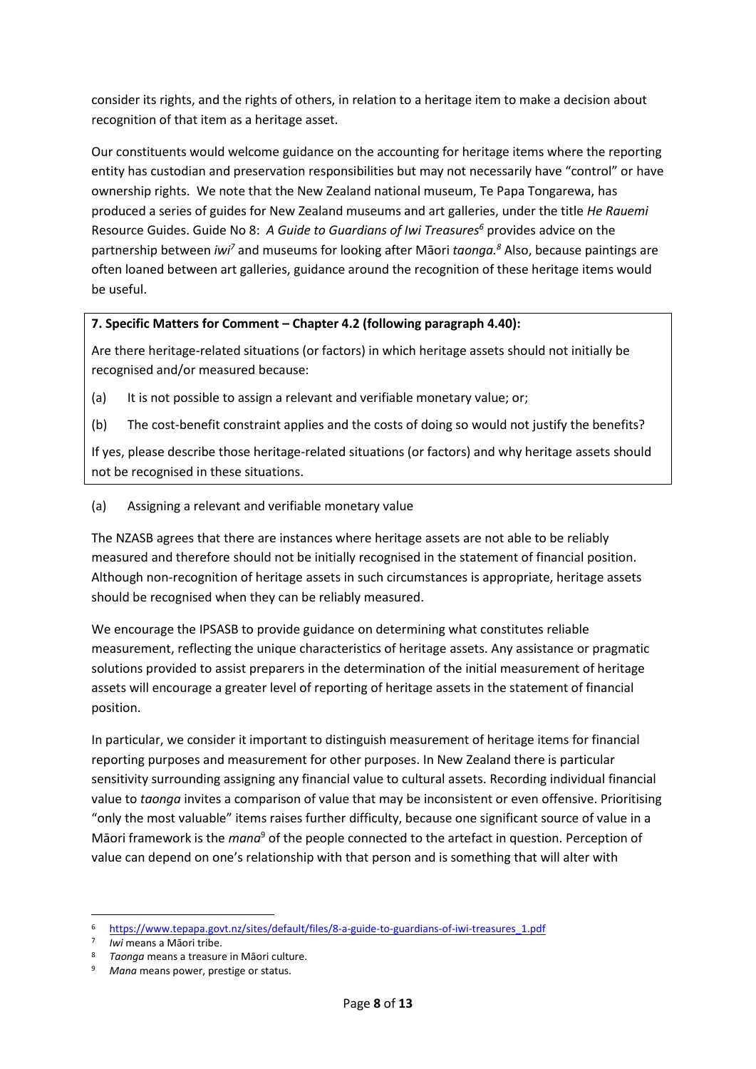consider its rights, and the rights of others, in relation to a heritage item to make a decision about recognition of that item as a heritage asset.

Our constituents would welcome guidance on the accounting for heritage items where the reporting entity has custodian and preservation responsibilities but may not necessarily have "control" or have ownership rights. We note that the New Zealand national museum, Te Papa Tongarewa, has produced a series of guides for New Zealand museums and art galleries, under the title *He Rauemi* Resource Guides. Guide No 8: *A Guide to Guardians of Iwi Treasures<sup>6</sup>* provides advice on the partnership between *iwi<sup>7</sup>* and museums for looking after Māori *taonga. <sup>8</sup>* Also, because paintings are often loaned between art galleries, guidance around the recognition of these heritage items would be useful.

### **7. Specific Matters for Comment – Chapter 4.2 (following paragraph 4.40):**

Are there heritage-related situations (or factors) in which heritage assets should not initially be recognised and/or measured because:

- (a) It is not possible to assign a relevant and verifiable monetary value; or;
- (b) The cost-benefit constraint applies and the costs of doing so would not justify the benefits?

If yes, please describe those heritage-related situations (or factors) and why heritage assets should not be recognised in these situations.

(a) Assigning a relevant and verifiable monetary value

The NZASB agrees that there are instances where heritage assets are not able to be reliably measured and therefore should not be initially recognised in the statement of financial position. Although non-recognition of heritage assets in such circumstances is appropriate, heritage assets should be recognised when they can be reliably measured.

We encourage the IPSASB to provide guidance on determining what constitutes reliable measurement, reflecting the unique characteristics of heritage assets. Any assistance or pragmatic solutions provided to assist preparers in the determination of the initial measurement of heritage assets will encourage a greater level of reporting of heritage assets in the statement of financial position.

In particular, we consider it important to distinguish measurement of heritage items for financial reporting purposes and measurement for other purposes. In New Zealand there is particular sensitivity surrounding assigning any financial value to cultural assets. Recording individual financial value to *taonga* invites a comparison of value that may be inconsistent or even offensive. Prioritising "only the most valuable" items raises further difficulty, because one significant source of value in a Māori framework is the *mana*<sup>9</sup> of the people connected to the artefact in question. Perception of value can depend on one's relationship with that person and is something that will alter with

1

<sup>6</sup> [https://www.tepapa.govt.nz/sites/default/files/8-a-guide-to-guardians-of-iwi-treasures\\_1.pdf](https://www.tepapa.govt.nz/sites/default/files/8-a-guide-to-guardians-of-iwi-treasures_1.pdf)

<sup>7</sup> *Iwi* means a Māori tribe.

<sup>8</sup> *Taonga* means a treasure in Māori culture.

<sup>9</sup> *Mana* means power, prestige or status.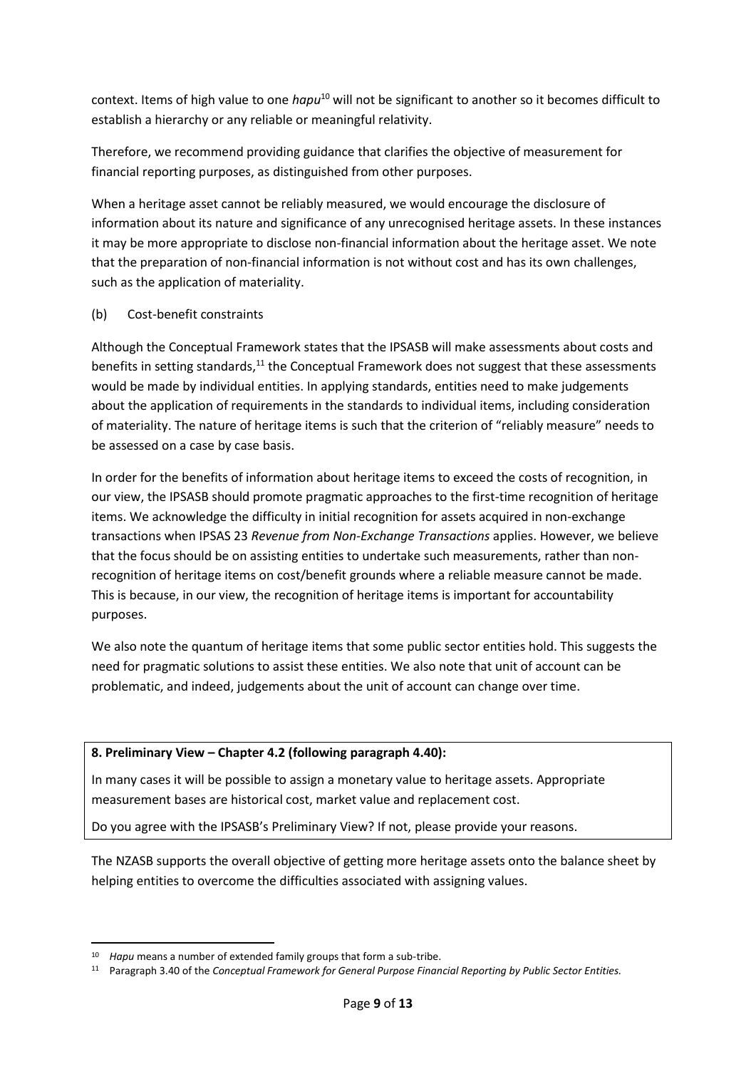context. Items of high value to one *hapu*<sup>10</sup> will not be significant to another so it becomes difficult to establish a hierarchy or any reliable or meaningful relativity.

Therefore, we recommend providing guidance that clarifies the objective of measurement for financial reporting purposes, as distinguished from other purposes.

When a heritage asset cannot be reliably measured, we would encourage the disclosure of information about its nature and significance of any unrecognised heritage assets. In these instances it may be more appropriate to disclose non-financial information about the heritage asset. We note that the preparation of non-financial information is not without cost and has its own challenges, such as the application of materiality.

### (b) Cost-benefit constraints

Although the Conceptual Framework states that the IPSASB will make assessments about costs and benefits in setting standards,<sup>11</sup> the Conceptual Framework does not suggest that these assessments would be made by individual entities. In applying standards, entities need to make judgements about the application of requirements in the standards to individual items, including consideration of materiality. The nature of heritage items is such that the criterion of "reliably measure" needs to be assessed on a case by case basis.

In order for the benefits of information about heritage items to exceed the costs of recognition, in our view, the IPSASB should promote pragmatic approaches to the first-time recognition of heritage items. We acknowledge the difficulty in initial recognition for assets acquired in non-exchange transactions when IPSAS 23 *Revenue from Non-Exchange Transactions* applies. However, we believe that the focus should be on assisting entities to undertake such measurements, rather than nonrecognition of heritage items on cost/benefit grounds where a reliable measure cannot be made. This is because, in our view, the recognition of heritage items is important for accountability purposes.

We also note the quantum of heritage items that some public sector entities hold. This suggests the need for pragmatic solutions to assist these entities. We also note that unit of account can be problematic, and indeed, judgements about the unit of account can change over time.

### **8. Preliminary View – Chapter 4.2 (following paragraph 4.40):**

In many cases it will be possible to assign a monetary value to heritage assets. Appropriate measurement bases are historical cost, market value and replacement cost.

Do you agree with the IPSASB's Preliminary View? If not, please provide your reasons.

The NZASB supports the overall objective of getting more heritage assets onto the balance sheet by helping entities to overcome the difficulties associated with assigning values.

**.** 

<sup>10</sup> *Hapu* means a number of extended family groups that form a sub-tribe.

<sup>11</sup> Paragraph 3.40 of the *Conceptual Framework for General Purpose Financial Reporting by Public Sector Entities.*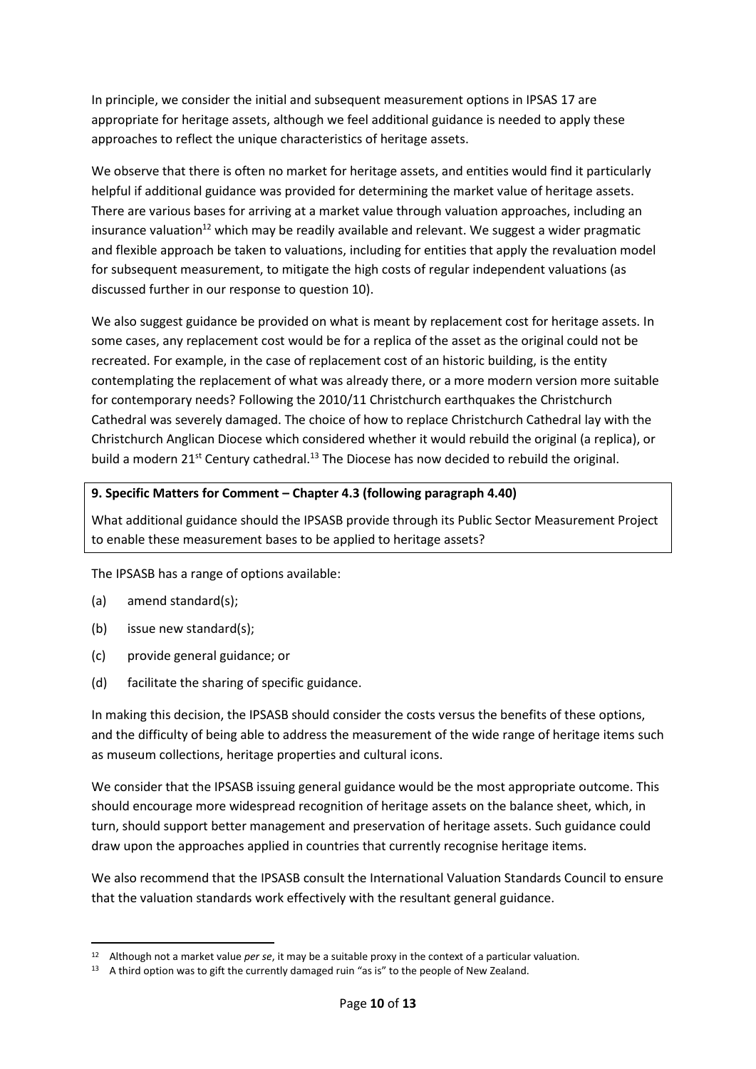In principle, we consider the initial and subsequent measurement options in IPSAS 17 are appropriate for heritage assets, although we feel additional guidance is needed to apply these approaches to reflect the unique characteristics of heritage assets.

We observe that there is often no market for heritage assets, and entities would find it particularly helpful if additional guidance was provided for determining the market value of heritage assets. There are various bases for arriving at a market value through valuation approaches, including an insurance valuation<sup>12</sup> which may be readily available and relevant. We suggest a wider pragmatic and flexible approach be taken to valuations, including for entities that apply the revaluation model for subsequent measurement, to mitigate the high costs of regular independent valuations (as discussed further in our response to question 10).

We also suggest guidance be provided on what is meant by replacement cost for heritage assets. In some cases, any replacement cost would be for a replica of the asset as the original could not be recreated. For example, in the case of replacement cost of an historic building, is the entity contemplating the replacement of what was already there, or a more modern version more suitable for contemporary needs? Following the 2010/11 Christchurch earthquakes the Christchurch Cathedral was severely damaged. The choice of how to replace Christchurch Cathedral lay with the Christchurch Anglican Diocese which considered whether it would rebuild the original (a replica), or build a modern 21<sup>st</sup> Century cathedral.<sup>13</sup> The Diocese has now decided to rebuild the original.

### **9. Specific Matters for Comment – Chapter 4.3 (following paragraph 4.40)**

What additional guidance should the IPSASB provide through its Public Sector Measurement Project to enable these measurement bases to be applied to heritage assets?

The IPSASB has a range of options available:

(a) amend standard(s);

**.** 

- (b) issue new standard(s);
- (c) provide general guidance; or
- (d) facilitate the sharing of specific guidance.

In making this decision, the IPSASB should consider the costs versus the benefits of these options, and the difficulty of being able to address the measurement of the wide range of heritage items such as museum collections, heritage properties and cultural icons.

We consider that the IPSASB issuing general guidance would be the most appropriate outcome. This should encourage more widespread recognition of heritage assets on the balance sheet, which, in turn, should support better management and preservation of heritage assets. Such guidance could draw upon the approaches applied in countries that currently recognise heritage items.

We also recommend that the IPSASB consult the International Valuation Standards Council to ensure that the valuation standards work effectively with the resultant general guidance.

<sup>12</sup> Although not a market value *per se*, it may be a suitable proxy in the context of a particular valuation.

<sup>13</sup> A third option was to gift the currently damaged ruin "as is" to the people of New Zealand.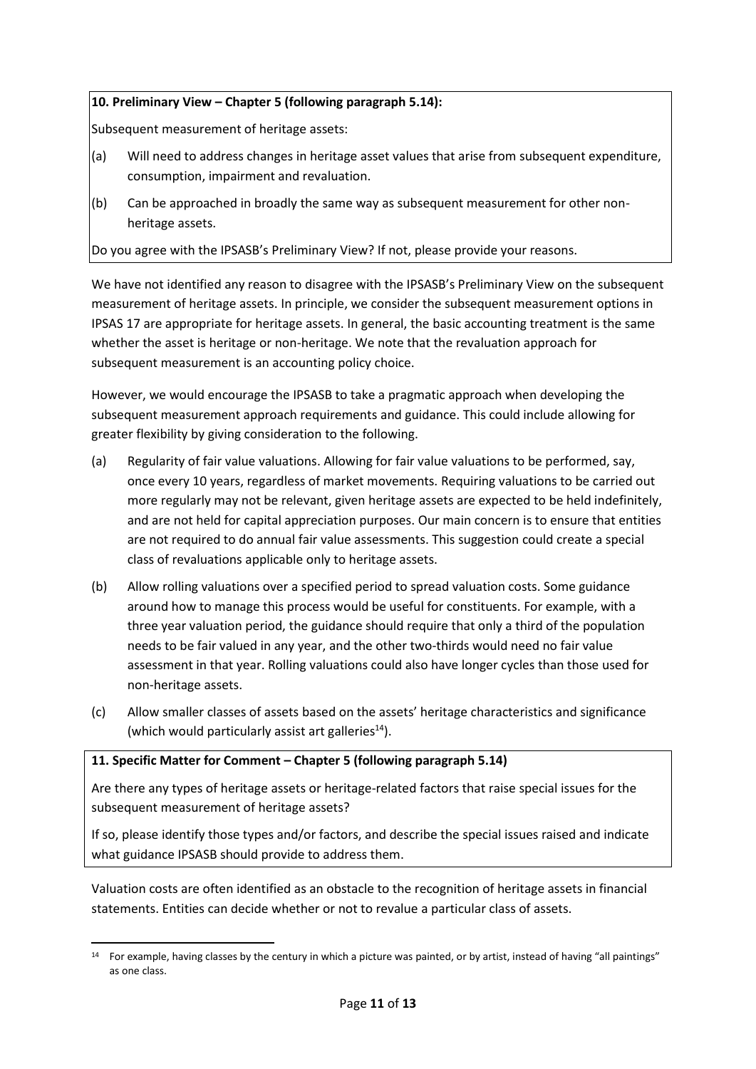# **10. Preliminary View – Chapter 5 (following paragraph 5.14):**

Subsequent measurement of heritage assets:

- (a) Will need to address changes in heritage asset values that arise from subsequent expenditure, consumption, impairment and revaluation.
- (b) Can be approached in broadly the same way as subsequent measurement for other nonheritage assets.

Do you agree with the IPSASB's Preliminary View? If not, please provide your reasons.

We have not identified any reason to disagree with the IPSASB's Preliminary View on the subsequent measurement of heritage assets. In principle, we consider the subsequent measurement options in IPSAS 17 are appropriate for heritage assets. In general, the basic accounting treatment is the same whether the asset is heritage or non-heritage. We note that the revaluation approach for subsequent measurement is an accounting policy choice.

However, we would encourage the IPSASB to take a pragmatic approach when developing the subsequent measurement approach requirements and guidance. This could include allowing for greater flexibility by giving consideration to the following.

- (a) Regularity of fair value valuations. Allowing for fair value valuations to be performed, say, once every 10 years, regardless of market movements. Requiring valuations to be carried out more regularly may not be relevant, given heritage assets are expected to be held indefinitely, and are not held for capital appreciation purposes. Our main concern is to ensure that entities are not required to do annual fair value assessments. This suggestion could create a special class of revaluations applicable only to heritage assets.
- (b) Allow rolling valuations over a specified period to spread valuation costs. Some guidance around how to manage this process would be useful for constituents. For example, with a three year valuation period, the guidance should require that only a third of the population needs to be fair valued in any year, and the other two-thirds would need no fair value assessment in that year. Rolling valuations could also have longer cycles than those used for non-heritage assets.
- (c) Allow smaller classes of assets based on the assets' heritage characteristics and significance (which would particularly assist art galleries<sup>14</sup>).

### **11. Specific Matter for Comment – Chapter 5 (following paragraph 5.14)**

Are there any types of heritage assets or heritage-related factors that raise special issues for the subsequent measurement of heritage assets?

If so, please identify those types and/or factors, and describe the special issues raised and indicate what guidance IPSASB should provide to address them.

Valuation costs are often identified as an obstacle to the recognition of heritage assets in financial statements. Entities can decide whether or not to revalue a particular class of assets.

**<sup>.</sup>** <sup>14</sup> For example, having classes by the century in which a picture was painted, or by artist, instead of having "all paintings" as one class.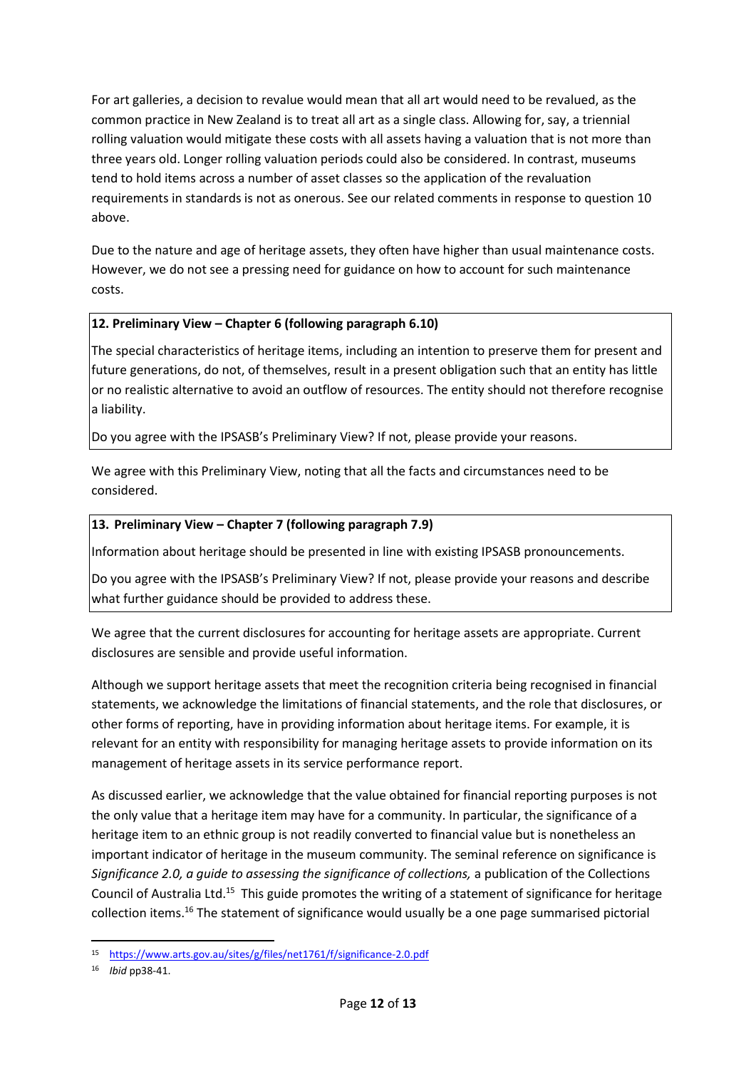For art galleries, a decision to revalue would mean that all art would need to be revalued, as the common practice in New Zealand is to treat all art as a single class. Allowing for, say, a triennial rolling valuation would mitigate these costs with all assets having a valuation that is not more than three years old. Longer rolling valuation periods could also be considered. In contrast, museums tend to hold items across a number of asset classes so the application of the revaluation requirements in standards is not as onerous. See our related comments in response to question 10 above.

Due to the nature and age of heritage assets, they often have higher than usual maintenance costs. However, we do not see a pressing need for guidance on how to account for such maintenance costs.

# **12. Preliminary View – Chapter 6 (following paragraph 6.10)**

The special characteristics of heritage items, including an intention to preserve them for present and future generations, do not, of themselves, result in a present obligation such that an entity has little or no realistic alternative to avoid an outflow of resources. The entity should not therefore recognise a liability.

Do you agree with the IPSASB's Preliminary View? If not, please provide your reasons.

We agree with this Preliminary View, noting that all the facts and circumstances need to be considered.

# **13. Preliminary View – Chapter 7 (following paragraph 7.9)**

Information about heritage should be presented in line with existing IPSASB pronouncements.

Do you agree with the IPSASB's Preliminary View? If not, please provide your reasons and describe what further guidance should be provided to address these.

We agree that the current disclosures for accounting for heritage assets are appropriate. Current disclosures are sensible and provide useful information.

Although we support heritage assets that meet the recognition criteria being recognised in financial statements, we acknowledge the limitations of financial statements, and the role that disclosures, or other forms of reporting, have in providing information about heritage items. For example, it is relevant for an entity with responsibility for managing heritage assets to provide information on its management of heritage assets in its service performance report.

As discussed earlier, we acknowledge that the value obtained for financial reporting purposes is not the only value that a heritage item may have for a community. In particular, the significance of a heritage item to an ethnic group is not readily converted to financial value but is nonetheless an important indicator of heritage in the museum community. The seminal reference on significance is *Significance 2.0, a guide to assessing the significance of collections,* a publication of the Collections Council of Australia Ltd.<sup>15</sup> This guide promotes the writing of a statement of significance for heritage collection items.<sup>16</sup> The statement of significance would usually be a one page summarised pictorial

1

<sup>15</sup> <https://www.arts.gov.au/sites/g/files/net1761/f/significance-2.0.pdf>

<sup>16</sup> *Ibid* pp38-41.